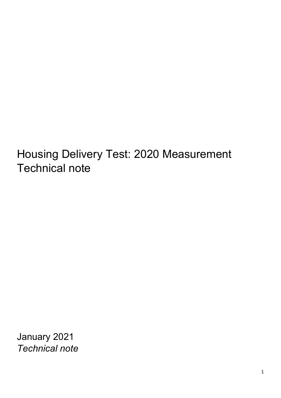Housing Delivery Test: 2020 Measurement Technical note

January 2021 *Technical note*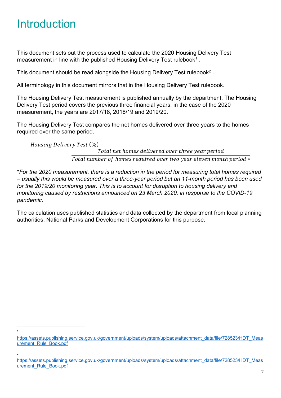# **Introduction**

This document sets out the process used to calculate the 2020 Housing Delivery Test measurement in line with the published Housing Delivery Test rulebook<sup>[1](#page-1-0)</sup>.

This document should be read alongside the Housing Delivery Test rulebook<sup>[2](#page-1-1)</sup>.

All terminology in this document mirrors that in the Housing Delivery Test rulebook.

The Housing Delivery Test measurement is published annually by the department. The Housing Delivery Test period covers the previous three financial years; in the case of the 2020 measurement, the years are 2017/18, 2018/19 and 2019/20.

The Housing Delivery Test compares the net homes delivered over three years to the homes required over the same period.

Housing Delivery Test (%)<br>Total net homes delivered over three year period  $\frac{1}{T}$   $\frac{1}{T}$   $\frac{1}{T}$   $\frac{1}{T}$   $\frac{1}{T}$   $\frac{1}{T}$   $\frac{1}{T}$   $\frac{1}{T}$   $\frac{1}{T}$   $\frac{1}{T}$   $\frac{1}{T}$   $\frac{1}{T}$   $\frac{1}{T}$   $\frac{1}{T}$   $\frac{1}{T}$   $\frac{1}{T}$   $\frac{1}{T}$   $\frac{1}{T}$   $\frac{1}{T}$   $\frac{1}{T}$   $\frac{1}{T}$   $\frac{1}{T}$ 

\**For the 2020 measurement, there is a reduction in the period for measuring total homes required – usually this would be measured over a three-year period but an 11-month period has been used for the 2019/20 monitoring year. This is to account for disruption to housing delivery and monitoring caused by restrictions announced on 23 March 2020, in response to the COVID-19 pandemic.*

The calculation uses published statistics and data collected by the department from local planning authorities, National Parks and Development Corporations for this purpose.

1

 $\overline{2}$ 

<span id="page-1-0"></span>[https://assets.publishing.service.gov.uk/government/uploads/system/uploads/attachment\\_data/file/728523/HDT\\_Meas](https://assets.publishing.service.gov.uk/government/uploads/system/uploads/attachment_data/file/728523/HDT_Measurement_Rule_Book.pdf) [urement\\_Rule\\_Book.pdf](https://assets.publishing.service.gov.uk/government/uploads/system/uploads/attachment_data/file/728523/HDT_Measurement_Rule_Book.pdf)

<span id="page-1-1"></span>[https://assets.publishing.service.gov.uk/government/uploads/system/uploads/attachment\\_data/file/728523/HDT\\_Meas](https://assets.publishing.service.gov.uk/government/uploads/system/uploads/attachment_data/file/728523/HDT_Measurement_Rule_Book.pdf) [urement\\_Rule\\_Book.pdf](https://assets.publishing.service.gov.uk/government/uploads/system/uploads/attachment_data/file/728523/HDT_Measurement_Rule_Book.pdf)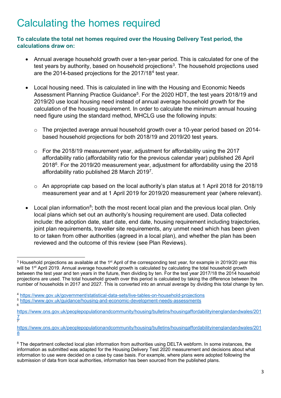## Calculating the homes required

**To calculate the total net homes required over the Housing Delivery Test period, the calculations draw on:**

- Annual average household growth over a ten-year period. This is calculated for one of the test years by authority, based on household projections<sup>[3](#page-2-0)</sup>. The household projections used are the 2014-based projections for the 2017/18[4](#page-2-1) test year.
- Local housing need. This is calculated in line with the Housing and Economic Needs Assessment Planning Practice Guidance<sup>5</sup>. For the 2020 HDT, the test years 2018/19 and 2019/20 use local housing need instead of annual average household growth for the calculation of the housing requirement. In order to calculate the minimum annual housing need figure using the standard method, MHCLG use the following inputs:
	- $\circ$  The projected average annual household growth over a 10-year period based on 2014based household projections for both 2018/19 and 2019/20 test years.
	- $\circ$  For the 2018/19 measurement year, adjustment for affordability using the 2017 affordability ratio (affordability ratio for the previous calendar year) published 26 April 2018[6.](#page-2-3) For the 2019/20 measurement year, adjustment for affordability using the 2018 affordability ratio published 28 March 2019[7.](#page-2-4)
	- o An appropriate cap based on the local authority's plan status at 1 April 2018 for 2018/19 measurement year and at 1 April 2019 for 2019/20 measurement year (where relevant).
- Local plan information<sup>[8](#page-2-5)</sup>; both the most recent local plan and the previous local plan. Only local plans which set out an authority's housing requirement are used. Data collected include: the adoption date, start date, end date, housing requirement including trajectories, joint plan requirements, traveller site requirements, any unmet need which has been given to or taken from other authorities (agreed in a local plan), and whether the plan has been reviewed and the outcome of this review (see Plan Reviews).

<span id="page-2-0"></span> $3$  Household projections as available at the 1<sup>st</sup> April of the corresponding test year, for example in 2019/20 year this will be 1<sup>st</sup> April 2019. Annual average household growth is calculated by calculating the total household growth between the test year and ten years in the future, then dividing by ten. For the test year 2017/18 the 2014 household projections are used. The total household growth over this period is calculated by taking the difference between the number of households in 2017 and 2027. This is converted into an annual average by dividing this total change by ten.

<span id="page-2-1"></span><sup>4</sup> <https://www.gov.uk/government/statistical-data-sets/live-tables-on-household-projections>

<span id="page-2-2"></span><sup>5</sup> <https://www.gov.uk/guidance/housing-and-economic-development-needs-assessments> 6

<span id="page-2-3"></span>[https://www.ons.gov.uk/peoplepopulationandcommunity/housing/bulletins/housingaffordabilityinenglandandwales/201](https://www.ons.gov.uk/peoplepopulationandcommunity/housing/bulletins/housingaffordabilityinenglandandwales/2017) [7](https://www.ons.gov.uk/peoplepopulationandcommunity/housing/bulletins/housingaffordabilityinenglandandwales/2017) 7

<span id="page-2-4"></span>[https://www.ons.gov.uk/peoplepopulationandcommunity/housing/bulletins/housingaffordabilityinenglandandwales/201](https://www.ons.gov.uk/peoplepopulationandcommunity/housing/bulletins/housingaffordabilityinenglandandwales/2018) [8](https://www.ons.gov.uk/peoplepopulationandcommunity/housing/bulletins/housingaffordabilityinenglandandwales/2018)

<span id="page-2-5"></span><sup>&</sup>lt;sup>8</sup> The department collected local plan information from authorities using DELTA webform. In some instances, the information as submitted was adapted for the Housing Delivery Test 2020 measurement and decisions about what information to use were decided on a case by case basis. For example, where plans were adopted following the submission of data from local authorities, information has been sourced from the published plans.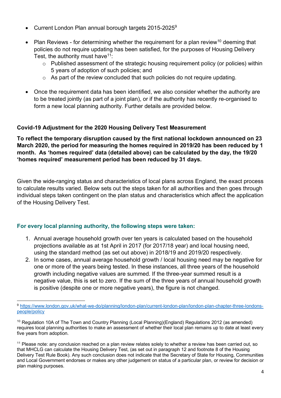- Current London Plan annual borough targets 2015-2025[9](#page-3-0)
- Plan Reviews for determining whether the requirement for a plan review<sup>[10](#page-3-1)</sup> deeming that policies do not require updating has been satisfied, for the purposes of Housing Delivery Test, the authority must have  $11$ :
	- o Published assessment of the strategic housing requirement policy (or policies) within 5 years of adoption of such policies; and
	- o As part of the review concluded that such policies do not require updating.
- Once the requirement data has been identified, we also consider whether the authority are to be treated jointly (as part of a joint plan), or if the authority has recently re-organised to form a new local planning authority. Further details are provided below.

#### **Covid-19 Adjustment for the 2020 Housing Delivery Test Measurement**

**To reflect the temporary disruption caused by the first national lockdown announced on 23 March 2020, the period for measuring the homes required in 2019/20 has been reduced by 1 month. As 'homes required' data (detailed above) can be calculated by the day, the 19/20 'homes required' measurement period has been reduced by 31 days.**

Given the wide-ranging status and characteristics of local plans across England, the exact process to calculate results varied. Below sets out the steps taken for all authorities and then goes through individual steps taken contingent on the plan status and characteristics which affect the application of the Housing Delivery Test.

#### **For every local planning authority, the following steps were taken:**

- 1. Annual average household growth over ten years is calculated based on the household projections available as at 1st April in 2017 (for 2017/18 year) and local housing need, using the standard method (as set out above) in 2018/19 and 2019/20 respectively.
- 2. In some cases, annual average household growth / local housing need may be negative for one or more of the years being tested. In these instances, all three years of the household growth including negative values are summed. If the three-year summed result is a negative value, this is set to zero. If the sum of the three years of annual household growth is positive (despite one or more negative years), the figure is not changed.

<span id="page-3-0"></span><sup>9</sup> [https://www.london.gov.uk/what-we-do/planning/london-plan/current-london-plan/london-plan-chapter-three-londons](https://www.london.gov.uk/what-we-do/planning/london-plan/current-london-plan/london-plan-chapter-three-londons-people/policy)[people/policy](https://www.london.gov.uk/what-we-do/planning/london-plan/current-london-plan/london-plan-chapter-three-londons-people/policy)

<span id="page-3-1"></span><sup>10</sup> Regulation 10A of The Town and Country Planning (Local Planning)(England) Regulations 2012 (as amended) requires local planning authorities to make an assessment of whether their local plan remains up to date at least every five years from adoption.

<span id="page-3-2"></span><sup>&</sup>lt;sup>11</sup> Please note: any conclusion reached on a plan review relates solely to whether a review has been carried out, so that MHCLG can calculate the Housing Delivery Test, (as set out in paragraph 12 and footnote 8 of the Housing Delivery Test Rule Book). Any such conclusion does not indicate that the Secretary of State for Housing, Communities and Local Government endorses or makes any other judgement on status of a particular plan, or review for decision or plan making purposes.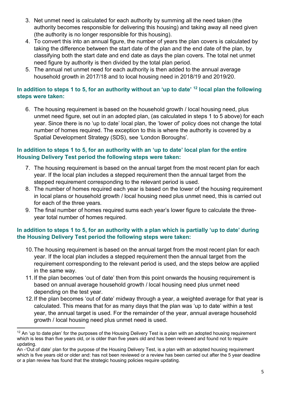- 3. Net unmet need is calculated for each authority by summing all the need taken (the authority becomes responsible for delivering this housing) and taking away all need given (the authority is no longer responsible for this housing).
- 4. To convert this into an annual figure, the number of years the plan covers is calculated by taking the difference between the start date of the plan and the end date of the plan, by classifying both the start date and end date as days the plan covers. The total net unmet need figure by authority is then divided by the total plan period.
- 5. The annual net unmet need for each authority is then added to the annual average household growth in 2017/18 and to local housing need in 2018/19 and 2019/20.

#### **In addition to steps 1 to 5, for an authority without an 'up to date' [12](#page-4-0) local plan the following steps were taken:**

6. The housing requirement is based on the household growth / local housing need, plus unmet need figure, set out in an adopted plan, (as calculated in steps 1 to 5 above) for each year. Since there is no 'up to date' local plan, the 'lower of' policy does not change the total number of homes required. The exception to this is where the authority is covered by a Spatial Development Strategy (SDS), see 'London Boroughs'.

#### **In addition to steps 1 to 5, for an authority with an 'up to date' local plan for the entire Housing Delivery Test period the following steps were taken:**

- 7. The housing requirement is based on the annual target from the most recent plan for each year. If the local plan includes a stepped requirement then the annual target from the stepped requirement corresponding to the relevant period is used.
- 8. The number of homes required each year is based on the lower of the housing requirement in local plans or household growth / local housing need plus unmet need, this is carried out for each of the three years.
- 9. The final number of homes required sums each year's lower figure to calculate the threeyear total number of homes required.

#### **In addition to steps 1 to 5, for an authority with a plan which is partially 'up to date' during the Housing Delivery Test period the following steps were taken:**

- 10.The housing requirement is based on the annual target from the most recent plan for each year. If the local plan includes a stepped requirement then the annual target from the requirement corresponding to the relevant period is used, and the steps below are applied in the same way.
- 11.If the plan becomes 'out of date' then from this point onwards the housing requirement is based on annual average household growth / local housing need plus unmet need depending on the test year.
- 12.If the plan becomes 'out of date' midway through a year, a weighted average for that year is calculated. This means that for as many days that the plan was 'up to date' within a test year, the annual target is used. For the remainder of the year, annual average household growth / local housing need plus unmet need is used.

<span id="page-4-0"></span> $12$  An 'up to date plan' for the purposes of the Housing Delivery Test is a plan with an adopted housing requirement which is less than five years old, or is older than five years old and has been reviewed and found not to require updating.

An -'Out of date' plan for the purpose of the Housing Delivery Test, is a plan with an adopted housing requirement which is five years old or older and: has not been reviewed or a review has been carried out after the 5 year deadline or a plan review has found that the strategic housing policies require updating.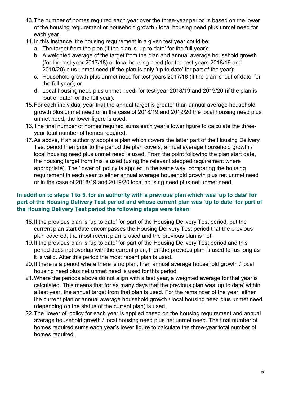- 13.The number of homes required each year over the three-year period is based on the lower of the housing requirement or household growth / local housing need plus unmet need for each year.
- 14.In this instance, the housing requirement in a given test year could be:
	- a. The target from the plan (if the plan is 'up to date' for the full year);
	- b. A weighted average of the target from the plan and annual average household growth (for the test year 2017/18) or local housing need (for the test years 2018/19 and 2019/20) plus unmet need (if the plan is only 'up to date' for part of the year);
	- c. Household growth plus unmet need for test years 2017/18 (if the plan is 'out of date' for the full year); or
	- d. Local housing need plus unmet need, for test year 2018/19 and 2019/20 (if the plan is 'out of date' for the full year).
- 15.For each individual year that the annual target is greater than annual average household growth plus unmet need or in the case of 2018/19 and 2019/20 the local housing need plus unmet need, the lower figure is used.
- 16.The final number of homes required sums each year's lower figure to calculate the threeyear total number of homes required.
- 17.As above, if an authority adopts a plan which covers the latter part of the Housing Delivery Test period then prior to the period the plan covers, annual average household growth / local housing need plus unmet need is used. From the point following the plan start date, the housing target from this is used (using the relevant stepped requirement where appropriate). The 'lower of' policy is applied in the same way, comparing the housing requirement in each year to either annual average household growth plus net unmet need or in the case of 2018/19 and 2019/20 local housing need plus net unmet need.

#### **In addition to steps 1 to 5, for an authority with a previous plan which was 'up to date' for part of the Housing Delivery Test period and whose current plan was 'up to date' for part of the Housing Delivery Test period the following steps were taken:**

- 18.If the previous plan is 'up to date' for part of the Housing Delivery Test period, but the current plan start date encompasses the Housing Delivery Test period that the previous plan covered, the most recent plan is used and the previous plan is not.
- 19.If the previous plan is 'up to date' for part of the Housing Delivery Test period and this period does not overlap with the current plan, then the previous plan is used for as long as it is valid. After this period the most recent plan is used.
- 20.If there is a period where there is no plan, then annual average household growth / local housing need plus net unmet need is used for this period.
- 21.Where the periods above do not align with a test year, a weighted average for that year is calculated. This means that for as many days that the previous plan was 'up to date' within a test year, the annual target from that plan is used. For the remainder of the year, either the current plan or annual average household growth / local housing need plus unmet need (depending on the status of the current plan) is used.
- 22.The 'lower of' policy for each year is applied based on the housing requirement and annual average household growth / local housing need plus net unmet need. The final number of homes required sums each year's lower figure to calculate the three-year total number of homes required.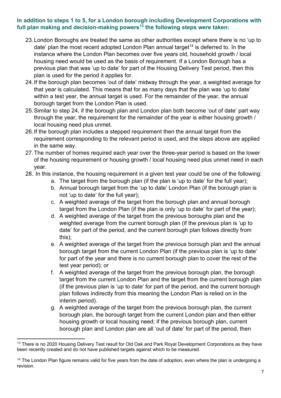#### **In addition to steps 1 to 5, for a London borough including Development Corporations with full plan making and decision-making powers[13](#page-6-0) the following steps were taken:**

- 23.London Boroughs are treated the same as other authorities except where there is no 'up to date' plan the most recent adopted London Plan annual target<sup>14</sup> is deferred to. In the instance where the London Plan becomes over five years old, household growth / local housing need would be used as the basis of requirement. If a London Borough has a previous plan that was 'up to date' for part of the Housing Delivery Test period, then this plan is used for the period it applies for.
- 24.If the borough plan becomes 'out of date' midway through the year, a weighted average for that year is calculated. This means that for as many days that the plan was 'up to date' within a test year, the annual target is used. For the remainder of the year, the annual borough target from the London Plan is used.
- 25.Similar to step 24, if the borough plan and London plan both become 'out of date' part way through the year, the requirement for the remainder of the year is either housing growth / local housing need plus unmet.
- 26.If the borough plan includes a stepped requirement then the annual target from the requirement corresponding to the relevant period is used, and the steps above are applied in the same way.
- 27.The number of homes required each year over the three-year period is based on the lower of the housing requirement or housing growth / local housing need plus unmet need in each year.
- 28. In this instance, the housing requirement in a given test year could be one of the following:
	- a. The target from the borough plan (if the plan is 'up to date' for the full year);
	- b. Annual borough target from the 'up to date' London Plan (if the borough plan is not 'up to date' for the full year);
	- c. A weighted average of the target from the borough plan and annual borough target from the London Plan (if the plan is only 'up to date' for part of the year);
	- d. A weighted average of the target from the previous boroughs plan and the weighted average from the current borough plan (if the previous plan is 'up to date' for part of the period, and the current borough plan follows directly from this);
	- e. A weighted average of the target from the previous borough plan and the annual borough target from the current London Plan (if the previous plan is 'up to date' for part of the year and there is no current borough plan to cover the rest of the test year period); or
	- f. A weighted average of the target from the previous borough plan, the borough target from the current London Plan and the target from the current borough plan (if the previous plan is 'up to date' for part of the period, and the current borough plan follows indirectly from this meaning the London Plan is relied on in the interim period).
	- g. A weighted average of the target from the previous borough plan, the current borough plan, the borough target from the current London plan and then either housing growth or local housing need; if the previous borough plan, current borough plan and London plan are all 'out of date' for part of the period, then

<span id="page-6-0"></span><sup>&</sup>lt;sup>13</sup> There is no 2020 Housing Delivery Test result for Old Oak and Park Royal Development Corporations as they have been recently created and do not have published targets against which to be measured.

<span id="page-6-1"></span> $14$  The London Plan figure remains valid for five years from the date of adoption, even where the plan is undergoing a revision.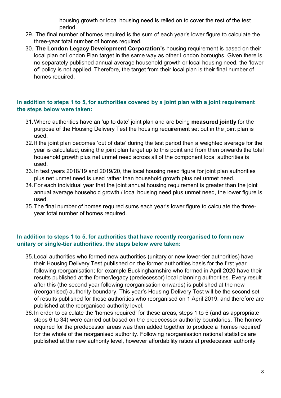housing growth or local housing need is relied on to cover the rest of the test period.

- 29. The final number of homes required is the sum of each year's lower figure to calculate the three-year total number of homes required.
- 30. **The London Legacy Development Corporation's** housing requirement is based on their local plan or London Plan target in the same way as other London boroughs. Given there is no separately published annual average household growth or local housing need, the 'lower of' policy is not applied. Therefore, the target from their local plan is their final number of homes required.

#### **In addition to steps 1 to 5, for authorities covered by a joint plan with a joint requirement the steps below were taken:**

- 31.Where authorities have an 'up to date' joint plan and are being **measured jointly** for the purpose of the Housing Delivery Test the housing requirement set out in the joint plan is used.
- 32.If the joint plan becomes 'out of date' during the test period then a weighted average for the year is calculated; using the joint plan target up to this point and from then onwards the total household growth plus net unmet need across all of the component local authorities is used.
- 33.In test years 2018/19 and 2019/20, the local housing need figure for joint plan authorities plus net unmet need is used rather than household growth plus net unmet need.
- 34.For each individual year that the joint annual housing requirement is greater than the joint annual average household growth / local housing need plus unmet need, the lower figure is used.
- 35.The final number of homes required sums each year's lower figure to calculate the threeyear total number of homes required.

#### **In addition to steps 1 to 5, for authorities that have recently reorganised to form new unitary or single-tier authorities, the steps below were taken:**

- 35.Local authorities who formed new authorities (unitary or new lower-tier authorities) have their Housing Delivery Test published on the former authorities basis for the first year following reorganisation; for example Buckinghamshire who formed in April 2020 have their results published at the former/legacy (predecessor) local planning authorities. Every result after this (the second year following reorganisation onwards) is published at the new (reorganised) authority boundary. This year's Housing Delivery Test will be the second set of results published for those authorities who reorganised on 1 April 2019, and therefore are published at the reorganised authority level.
- 36.In order to calculate the 'homes required' for these areas, steps 1 to 5 (and as appropriate steps 6 to 34) were carried out based on the predecessor authority boundaries. The homes required for the predecessor areas was then added together to produce a 'homes required' for the whole of the reorganised authority. Following reorganisation national statistics are published at the new authority level, however affordability ratios at predecessor authority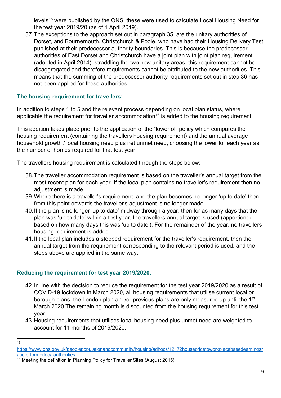levels<sup>[15](#page-8-0)</sup> were published by the ONS; these were used to calculate Local Housing Need for the test year 2019/20 (as of 1 April 2019).

37.The exceptions to the approach set out in paragraph 35, are the unitary authorities of Dorset, and Bournemouth, Christchurch & Poole, who have had their Housing Delivery Test published at their predecessor authority boundaries. This is because the predecessor authorities of East Dorset and Christchurch have a joint plan with joint plan requirement (adopted in April 2014), straddling the two new unitary areas, this requirement cannot be disaggregated and therefore requirements cannot be attributed to the new authorities. This means that the summing of the predecessor authority requirements set out in step 36 has not been applied for these authorities.

#### **The housing requirement for travellers:**

In addition to steps 1 to 5 and the relevant process depending on local plan status, where applicable the requirement for traveller accommodation<sup>[16](#page-8-1)</sup> is added to the housing requirement.

This addition takes place prior to the application of the "lower of" policy which compares the housing requirement (containing the travellers housing requirement) and the annual average household growth / local housing need plus net unmet need, choosing the lower for each year as the number of homes required for that test year

The travellers housing requirement is calculated through the steps below:

- 38.The traveller accommodation requirement is based on the traveller's annual target from the most recent plan for each year. If the local plan contains no traveller's requirement then no adiustment is made.
- 39.Where there is a traveller's requirement, and the plan becomes no longer 'up to date' then from this point onwards the traveller's adjustment is no longer made.
- 40.If the plan is no longer 'up to date' midway through a year, then for as many days that the plan was 'up to date' within a test year, the travellers annual target is used (apportioned based on how many days this was 'up to date'). For the remainder of the year, no travellers housing requirement is added.
- 41.If the local plan includes a stepped requirement for the traveller's requirement, then the annual target from the requirement corresponding to the relevant period is used, and the steps above are applied in the same way.

#### **Reducing the requirement for test year 2019/2020.**

- 42.In line with the decision to reduce the requirement for the test year 2019/2020 as a result of COVID-19 lockdown in March 2020, all housing requirements that utilise current local or borough plans, the London plan and/or previous plans are only measured up until the  $1<sup>th</sup>$ March 2020.The remaining month is discounted from the housing requirement for this test year.
- 43.Housing requirements that utilises local housing need plus unmet need are weighted to account for 11 months of 2019/2020.
- 15

<span id="page-8-0"></span>[https://www.ons.gov.uk/peoplepopulationandcommunity/housing/adhocs/12172housepricetoworkplacebasedearningsr](https://www.ons.gov.uk/peoplepopulationandcommunity/housing/adhocs/12172housepricetoworkplacebasedearningsratioforformerlocalauthorities) [atioforformerlocalauthorities](https://www.ons.gov.uk/peoplepopulationandcommunity/housing/adhocs/12172housepricetoworkplacebasedearningsratioforformerlocalauthorities)

<span id="page-8-1"></span> $\frac{16}{16}$  Meeting the definition in Planning Policy for Traveller Sites (August 2015)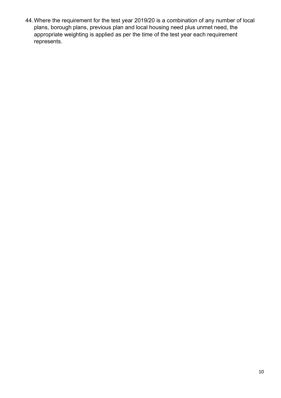44.Where the requirement for the test year 2019/20 is a combination of any number of local plans, borough plans, previous plan and local housing need plus unmet need, the appropriate weighting is applied as per the time of the test year each requirement represents.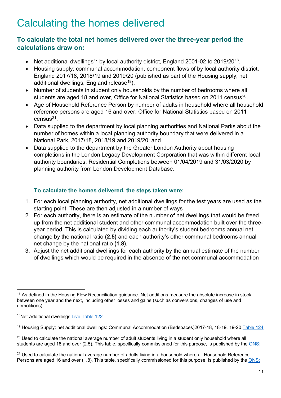### Calculating the homes delivered

### **To calculate the total net homes delivered over the three-year period the calculations draw on:**

- Net additional dwellings<sup>17</sup> by local authority district, England 2001-02 to 2019/20<sup>18</sup>.
- Housing supply; communal accommodation, component flows of by local authority district, England 2017/18, 2018/19 and 2019/20 (published as part of the Housing supply; net additional dwellings, England release<sup>19</sup>).
- Number of students in student only households by the number of bedrooms where all students are aged 18 and over. Office for National Statistics based on [20](#page-10-3)11 census<sup>20</sup>.
- Age of Household Reference Person by number of adults in household where all household reference persons are aged 16 and over, Office for National Statistics based on 2011  $census<sup>21</sup>$  $census<sup>21</sup>$  $census<sup>21</sup>$ .
- Data supplied to the department by local planning authorities and National Parks about the number of homes within a local planning authority boundary that were delivered in a National Park, 2017/18, 2018/19 and 2019/20; and
- Data supplied to the department by the Greater London Authority about housing completions in the London Legacy Development Corporation that was within different local authority boundaries, Residential Completions between 01/04/2019 and 31/03/2020 by planning authority from London Development Database.

#### **To calculate the homes delivered, the steps taken were:**

- 1. For each local planning authority, net additional dwellings for the test years are used as the starting point. These are then adjusted in a number of ways
- 2. For each authority, there is an estimate of the number of net dwellings that would be freed up from the net additional student and other communal accommodation built over the threeyear period. This is calculated by dividing each authority's student bedrooms annual net change by the national ratio **(2.5)** and each authority's other communal bedrooms annual net change by the national ratio **(1.8).**
- 3. Adjust the net additional dwellings for each authority by the annual estimate of the number of dwellings which would be required in the absence of the net communal accommodation

<span id="page-10-0"></span><sup>&</sup>lt;sup>17</sup> As defined in the Housing Flow Reconciliation guidance. Net additions measure the absolute increase in stock between one year and the next, including other losses and gains (such as conversions, changes of use and demolitions).

<span id="page-10-1"></span><sup>18</sup>Net Additional dwellings Live [Table 122](https://assets.publishing.service.gov.uk/government/uploads/system/uploads/attachment_data/file/938199/Live_Table_122.ods)

<span id="page-10-2"></span><sup>&</sup>lt;sup>19</sup> Housing Supply: net additional dwellings: Communal Accommodation (Bedspaces)2017-18, 18-19, 19-20 [Table 124](https://assets.publishing.service.gov.uk/government/uploads/system/uploads/attachment_data/file/938220/Live_Table_124.ods)

<span id="page-10-3"></span> $20$  Used to calculate the national average number of adult students living in a student only household where all students are aged 18 and over (2.5). This table, specifically commissioned for this purpose, is published by the [ONS:](https://www.ons.gov.uk/file?uri=/peoplepopulationandcommunity/housing/adhocs/008207ct07732011censusnumberof%20studentsinstudentonlyhouseholdnationaltolocalauthoritylevel/ct07732011censusnumberofstudentsinstudentonlyhouse%20holdnationaltola.xls)

<span id="page-10-4"></span> $21$  Used to calculate the national average number of adults living in a household where all Household Reference Persons are aged 16 and over (1.8). This table, specifically commissioned for this purpose, is published by the [ONS:](https://www.ons.gov.uk/file?uri=/peoplepopulationandcommunity/housing/adhocs/008208ct07742011censusageofhou%20seholdreferencepersonhrpbynumberofadultsinhouseholdnationaltolocalauthoritylevel/ct07742011censusageofhrpbynu%20mberofadultsinhhnationaltola.xls)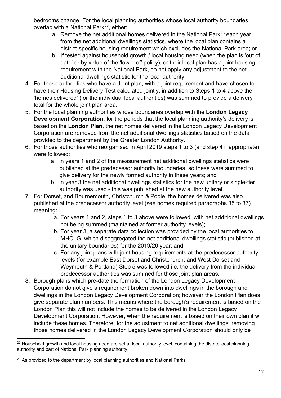bedrooms change. For the local planning authorities whose local authority boundaries overlap with a National Park<sup>[22](#page-11-0)</sup>, either:

- a. Remove the net additional homes delivered in the National Park<sup>[23](#page-11-1)</sup> each year from the net additional dwellings statistics, where the local plan contains a district-specific housing requirement which excludes the National Park area; or
- b. If tested against household growth / local housing need (when the plan is 'out of date' or by virtue of the 'lower of' policy), or their local plan has a joint housing requirement with the National Park, do not apply any adjustment to the net additional dwellings statistic for the local authority.
- 4. For those authorities who have a Joint plan, with a joint requirement and have chosen to have their Housing Delivery Test calculated jointly, in addition to Steps 1 to 4 above the 'homes delivered' (for the individual local authorities) was summed to provide a delivery total for the whole joint plan area.
- 5. For the local planning authorities whose boundaries overlap with the **London Legacy Development Corporation**, for the periods that the local planning authority's delivery is based on the **London Plan**, the net homes delivered in the London Legacy Development Corporation are removed from the net additional dwellings statistics based on the data provided to the department by the Greater London Authority.
- 6. For those authorities who reorganised in April 2019 steps 1 to 3 (and step 4 if appropriate) were followed:
	- a. in years 1 and 2 of the measurement net additional dwellings statistics were published at the predecessor authority boundaries, so these were summed to give delivery for the newly formed authority in these years; and
	- b. in year 3 the net additional dwellings statistics for the new unitary or single-tier authority was used - this was published at the new authority level.
- 7. For Dorset, and Bournemouth, Christchurch & Poole, the homes delivered was also published at the predecessor authority level (see homes required paragraphs 35 to 37) meaning:
	- a. For years 1 and 2, steps 1 to 3 above were followed, with net additional dwellings not being summed (maintained at former authority levels);
	- b. For year 3, a separate data collection was provided by the local authorities to MHCLG, which disaggregated the net additional dwellings statistic (published at the unitary boundaries) for the 2019/20 year; and
	- c. For any joint plans with joint housing requirements at the predecessor authority levels (for example East Dorset and Christchurch; and West Dorset and Weymouth & Portland) Step 5 was followed i.e. the delivery from the individual predecessor authorities was summed for those joint plan areas.
- 8. Borough plans which pre-date the formation of the London Legacy Development Corporation do not give a requirement broken down into dwellings in the borough and dwellings in the London Legacy Development Corporation; however the London Plan does give separate plan numbers. This means where the borough's requirement is based on the London Plan this will not include the homes to be delivered in the London Legacy Development Corporation. However, when the requirement is based on their own plan it will include these homes. Therefore, for the adjustment to net additional dwellings, removing those homes delivered in the London Legacy Development Corporation should only be

<span id="page-11-0"></span><sup>&</sup>lt;sup>22</sup> Household growth and local housing need are set at local authority level, containing the district local planning authority and part of National Park planning authority.

<span id="page-11-1"></span> $23$  As provided to the department by local planning authorities and National Parks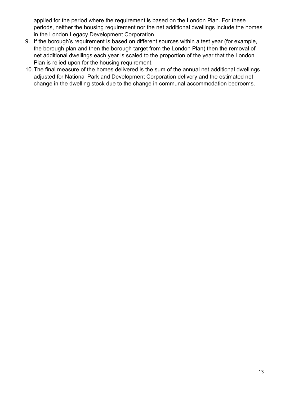applied for the period where the requirement is based on the London Plan. For these periods, neither the housing requirement nor the net additional dwellings include the homes in the London Legacy Development Corporation.

- 9. If the borough's requirement is based on different sources within a test year (for example, the borough plan and then the borough target from the London Plan) then the removal of net additional dwellings each year is scaled to the proportion of the year that the London Plan is relied upon for the housing requirement.
- 10.The final measure of the homes delivered is the sum of the annual net additional dwellings adjusted for National Park and Development Corporation delivery and the estimated net change in the dwelling stock due to the change in communal accommodation bedrooms.